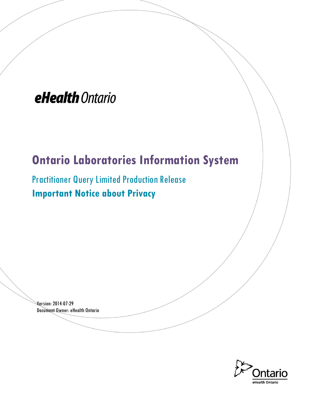# eHealth Ontario

## **Ontario Laboratories Information System**

Practitioner Query Limited Production Release **Important Notice about Privacy** 

Version: 2014-07-29 Document Owner: eHealth Ontario

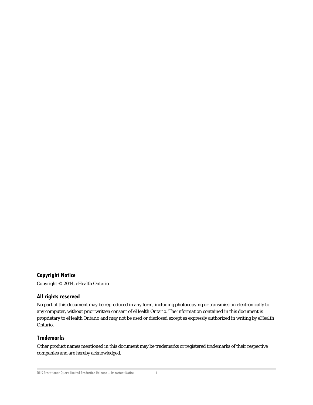#### **Copyright Notice**

Copyright © 2014, eHealth Ontario

#### **All rights reserved**

No part of this document may be reproduced in any form, including photocopying or transmission electronically to any computer, without prior written consent of eHealth Ontario. The information contained in this document is proprietary to eHealth Ontario and may not be used or disclosed except as expressly authorized in writing by eHealth Ontario.

#### **Trademarks**

Other product names mentioned in this document may be trademarks or registered trademarks of their respective companies and are hereby acknowledged.